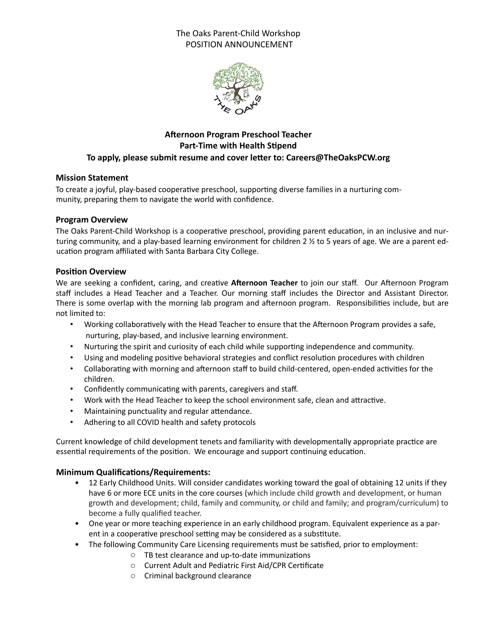# The Oaks Parent-Child Workshop POSITION ANNOUNCEMENT



# **Afternoon Program Preschool Teacher Part-Time with Health Stipend** To apply, please submit resume and cover letter to: Careers@TheOaksPCW.org

## **Mission Statement**

To create a joyful, play-based cooperative preschool, supporting diverse families in a nurturing community, preparing them to navigate the world with confidence.

#### **Program Overview**

The Oaks Parent-Child Workshop is a cooperative preschool, providing parent education, in an inclusive and nurturing community, and a play-based learning environment for children 2  $\frac{1}{2}$  to 5 years of age. We are a parent education program affiliated with Santa Barbara City College.

#### **Position Overview**

We are seeking a confident, caring, and creative Afternoon Teacher to join our staff. Our Afternoon Program staff includes a Head Teacher and a Teacher. Our morning staff includes the Director and Assistant Director. There is some overlap with the morning lab program and afternoon program. Responsibilities include, but are not limited to:

- Working collaboratively with the Head Teacher to ensure that the Afternoon Program provides a safe, nurturing, play-based, and inclusive learning environment.
- Nurturing the spirit and curiosity of each child while supporting independence and community.
- Using and modeling positive behavioral strategies and conflict resolution procedures with children
- Collaborating with morning and afternoon staff to build child-centered, open-ended activities for the children.
- Confidently communicating with parents, caregivers and staff.
- Work with the Head Teacher to keep the school environment safe, clean and attractive.
- Maintaining punctuality and regular attendance.
- Adhering to all COVID health and safety protocols

Current knowledge of child development tenets and familiarity with developmentally appropriate practice are essential requirements of the position. We encourage and support continuing education.

## **Minimum Qualifications/Requirements:**

- 12 Early Childhood Units. Will consider candidates working toward the goal of obtaining 12 units if they have 6 or more ECE units in the core courses (which include child growth and development, or human growth and development; child, family and community, or child and family; and program/curriculum) to become a fully qualified teacher.
- One year or more teaching experience in an early childhood program. Equivalent experience as a parent in a cooperative preschool setting may be considered as a substitute.
- The following Community Care Licensing requirements must be satisfied, prior to employment:
	- $\circ$  TB test clearance and up-to-date immunizations
	- o Current Adult and Pediatric First Aid/CPR Certificate
	- $\circ$  Criminal background clearance